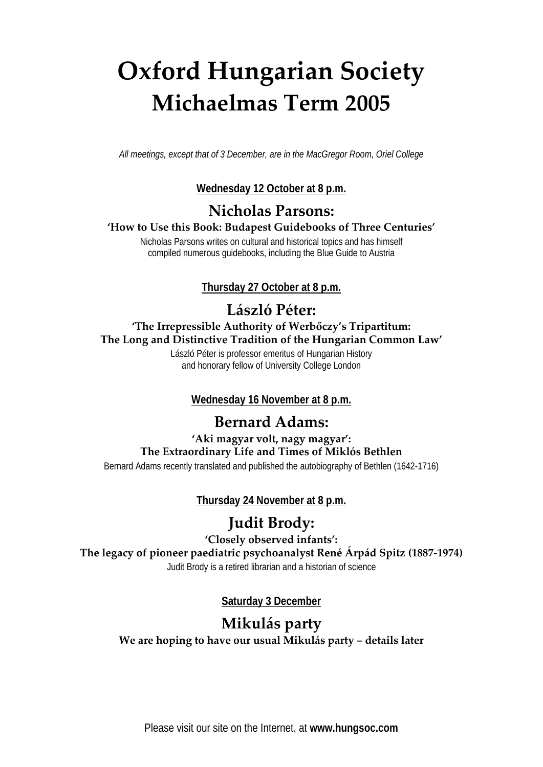# **Oxford Hungarian Society Michaelmas Term 2005**

*All meetings, except that of 3 December, are in the MacGregor Room, Oriel College*

#### **Wednesday 12 October at 8 p.m.**

## **Nicholas Parsons:**

**'How to Use this Book: Budapest Guidebooks of Three Centuries'**

Nicholas Parsons writes on cultural and historical topics and has himself compiled numerous guidebooks, including the Blue Guide to Austria

**Thursday 27 October at 8 p.m.**

# **László Péter:**

#### **'The Irrepressible Authority of Werbőczy's Tripartitum: The Long and Distinctive Tradition of the Hungarian Common Law'**

László Péter is professor emeritus of Hungarian History and honorary fellow of University College London

**Wednesday 16 November at 8 p.m.**

## **Bernard Adams:**

### **'Aki magyar volt, nagy magyar': The Extraordinary Life and Times of Miklós Bethlen**

Bernard Adams recently translated and published the autobiography of Bethlen (1642-1716)

**Thursday 24 November at 8 p.m.**

## **Judit Brody:**

**'Closely observed infants':**

**The legacy of pioneer paediatric psychoanalyst René Árpád Spitz (1887-1974)**

Judit Brody is a retired librarian and a historian of science

**Saturday 3 December**

## **Mikulás party We are hoping to have our usual Mikulás party – details later**

Please visit our site on the Internet, at **www.hungsoc.com**